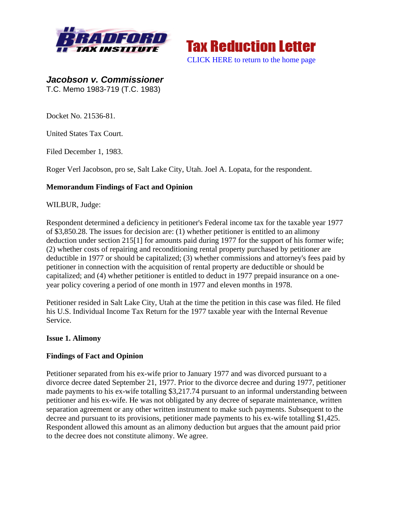



*Jacobson v. Commissioner*  T.C. Memo 1983-719 (T.C. 1983)

Docket No. 21536-81.

United States Tax Court.

Filed December 1, 1983.

Roger Verl Jacobson, pro se, Salt Lake City, Utah. Joel A. Lopata, for the respondent.

## **Memorandum Findings of Fact and Opinion**

WILBUR, Judge:

Respondent determined a deficiency in petitioner's Federal income tax for the taxable year 1977 of \$3,850.28. The issues for decision are: (1) whether petitioner is entitled to an alimony deduction under section 215[1] for amounts paid during 1977 for the support of his former wife; (2) whether costs of repairing and reconditioning rental property purchased by petitioner are deductible in 1977 or should be capitalized; (3) whether commissions and attorney's fees paid by petitioner in connection with the acquisition of rental property are deductible or should be capitalized; and (4) whether petitioner is entitled to deduct in 1977 prepaid insurance on a oneyear policy covering a period of one month in 1977 and eleven months in 1978.

Petitioner resided in Salt Lake City, Utah at the time the petition in this case was filed. He filed his U.S. Individual Income Tax Return for the 1977 taxable year with the Internal Revenue Service.

#### **Issue 1. Alimony**

# **Findings of Fact and Opinion**

Petitioner separated from his ex-wife prior to January 1977 and was divorced pursuant to a divorce decree dated September 21, 1977. Prior to the divorce decree and during 1977, petitioner made payments to his ex-wife totalling \$3,217.74 pursuant to an informal understanding between petitioner and his ex-wife. He was not obligated by any decree of separate maintenance, written separation agreement or any other written instrument to make such payments. Subsequent to the decree and pursuant to its provisions, petitioner made payments to his ex-wife totalling \$1,425. Respondent allowed this amount as an alimony deduction but argues that the amount paid prior to the decree does not constitute alimony. We agree.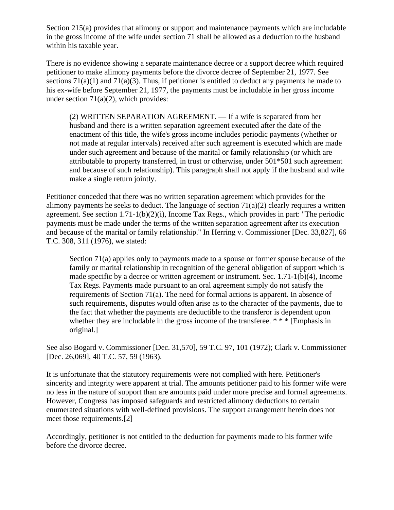Section 215(a) provides that alimony or support and maintenance payments which are includable in the gross income of the wife under section 71 shall be allowed as a deduction to the husband within his taxable year.

There is no evidence showing a separate maintenance decree or a support decree which required petitioner to make alimony payments before the divorce decree of September 21, 1977. See sections  $71(a)(1)$  and  $71(a)(3)$ . Thus, if petitioner is entitled to deduct any payments he made to his ex-wife before September 21, 1977, the payments must be includable in her gross income under section  $71(a)(2)$ , which provides:

(2) WRITTEN SEPARATION AGREEMENT. — If a wife is separated from her husband and there is a written separation agreement executed after the date of the enactment of this title, the wife's gross income includes periodic payments (whether or not made at regular intervals) received after such agreement is executed which are made under such agreement and because of the marital or family relationship (or which are attributable to property transferred, in trust or otherwise, under 501\*501 such agreement and because of such relationship). This paragraph shall not apply if the husband and wife make a single return jointly.

Petitioner conceded that there was no written separation agreement which provides for the alimony payments he seeks to deduct. The language of section  $71(a)(2)$  clearly requires a written agreement. See section 1.71-1(b)(2)(i), Income Tax Regs., which provides in part: "The periodic payments must be made under the terms of the written separation agreement after its execution and because of the marital or family relationship." In Herring v. Commissioner [Dec. 33,827], 66 T.C. 308, 311 (1976), we stated:

Section 71(a) applies only to payments made to a spouse or former spouse because of the family or marital relationship in recognition of the general obligation of support which is made specific by a decree or written agreement or instrument. Sec. 1.71-1(b)(4), Income Tax Regs. Payments made pursuant to an oral agreement simply do not satisfy the requirements of Section 71(a). The need for formal actions is apparent. In absence of such requirements, disputes would often arise as to the character of the payments, due to the fact that whether the payments are deductible to the transferor is dependent upon whether they are includable in the gross income of the transferee. \* \* \* [Emphasis in original.]

See also Bogard v. Commissioner [Dec. 31,570], 59 T.C. 97, 101 (1972); Clark v. Commissioner [Dec. 26,069], 40 T.C. 57, 59 (1963).

It is unfortunate that the statutory requirements were not complied with here. Petitioner's sincerity and integrity were apparent at trial. The amounts petitioner paid to his former wife were no less in the nature of support than are amounts paid under more precise and formal agreements. However, Congress has imposed safeguards and restricted alimony deductions to certain enumerated situations with well-defined provisions. The support arrangement herein does not meet those requirements.[2]

Accordingly, petitioner is not entitled to the deduction for payments made to his former wife before the divorce decree.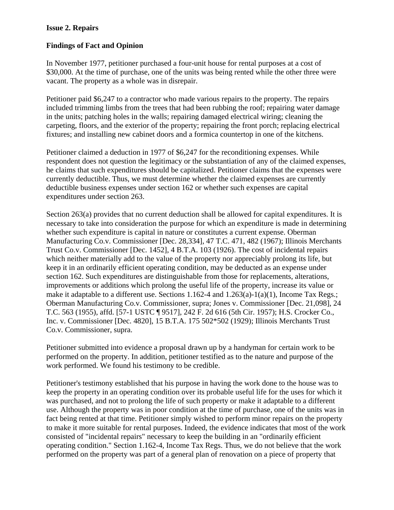## **Issue 2. Repairs**

## **Findings of Fact and Opinion**

In November 1977, petitioner purchased a four-unit house for rental purposes at a cost of \$30,000. At the time of purchase, one of the units was being rented while the other three were vacant. The property as a whole was in disrepair.

Petitioner paid \$6,247 to a contractor who made various repairs to the property. The repairs included trimming limbs from the trees that had been rubbing the roof; repairing water damage in the units; patching holes in the walls; repairing damaged electrical wiring; cleaning the carpeting, floors, and the exterior of the property; repairing the front porch; replacing electrical fixtures; and installing new cabinet doors and a formica countertop in one of the kitchens.

Petitioner claimed a deduction in 1977 of \$6,247 for the reconditioning expenses. While respondent does not question the legitimacy or the substantiation of any of the claimed expenses, he claims that such expenditures should be capitalized. Petitioner claims that the expenses were currently deductible. Thus, we must determine whether the claimed expenses are currently deductible business expenses under section 162 or whether such expenses are capital expenditures under section 263.

Section 263(a) provides that no current deduction shall be allowed for capital expenditures. It is necessary to take into consideration the purpose for which an expenditure is made in determining whether such expenditure is capital in nature or constitutes a current expense. Oberman Manufacturing Co.v. Commissioner [Dec. 28,334], 47 T.C. 471, 482 (1967); Illinois Merchants Trust Co.v. Commissioner [Dec. 1452], 4 B.T.A. 103 (1926). The cost of incidental repairs which neither materially add to the value of the property nor appreciably prolong its life, but keep it in an ordinarily efficient operating condition, may be deducted as an expense under section 162. Such expenditures are distinguishable from those for replacements, alterations, improvements or additions which prolong the useful life of the property, increase its value or make it adaptable to a different use. Sections  $1.162-4$  and  $1.263(a)-1(a)(1)$ , Income Tax Regs.; Oberman Manufacturing Co.v. Commissioner, supra; Jones v. Commissioner [Dec. 21,098], 24 T.C. 563 (1955), affd. [57-1 USTC ¶ 9517], 242 F. 2d 616 (5th Cir. 1957); H.S. Crocker Co., Inc. v. Commissioner [Dec. 4820], 15 B.T.A. 175 502\*502 (1929); Illinois Merchants Trust Co.v. Commissioner, supra.

Petitioner submitted into evidence a proposal drawn up by a handyman for certain work to be performed on the property. In addition, petitioner testified as to the nature and purpose of the work performed. We found his testimony to be credible.

Petitioner's testimony established that his purpose in having the work done to the house was to keep the property in an operating condition over its probable useful life for the uses for which it was purchased, and not to prolong the life of such property or make it adaptable to a different use. Although the property was in poor condition at the time of purchase, one of the units was in fact being rented at that time. Petitioner simply wished to perform minor repairs on the property to make it more suitable for rental purposes. Indeed, the evidence indicates that most of the work consisted of "incidental repairs" necessary to keep the building in an "ordinarily efficient operating condition." Section 1.162-4, Income Tax Regs. Thus, we do not believe that the work performed on the property was part of a general plan of renovation on a piece of property that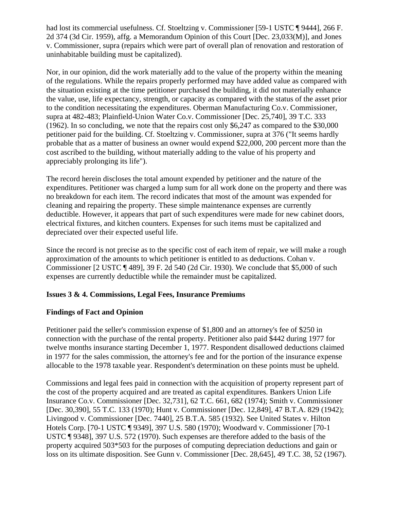had lost its commercial usefulness. Cf. Stoeltzing v. Commissioner [59-1 USTC ¶ 9444], 266 F. 2d 374 (3d Cir. 1959), affg. a Memorandum Opinion of this Court [Dec. 23,033(M)], and Jones v. Commissioner, supra (repairs which were part of overall plan of renovation and restoration of uninhabitable building must be capitalized).

Nor, in our opinion, did the work materially add to the value of the property within the meaning of the regulations. While the repairs properly performed may have added value as compared with the situation existing at the time petitioner purchased the building, it did not materially enhance the value, use, life expectancy, strength, or capacity as compared with the status of the asset prior to the condition necessitating the expenditures. Oberman Manufacturing Co.v. Commissioner, supra at 482-483; Plainfield-Union Water Co.v. Commissioner [Dec. 25,740], 39 T.C. 333 (1962). In so concluding, we note that the repairs cost only \$6,247 as compared to the \$30,000 petitioner paid for the building. Cf. Stoeltzing v. Commissioner, supra at 376 ("It seems hardly probable that as a matter of business an owner would expend \$22,000, 200 percent more than the cost ascribed to the building, without materially adding to the value of his property and appreciably prolonging its life").

The record herein discloses the total amount expended by petitioner and the nature of the expenditures. Petitioner was charged a lump sum for all work done on the property and there was no breakdown for each item. The record indicates that most of the amount was expended for cleaning and repairing the property. These simple maintenance expenses are currently deductible. However, it appears that part of such expenditures were made for new cabinet doors, electrical fixtures, and kitchen counters. Expenses for such items must be capitalized and depreciated over their expected useful life.

Since the record is not precise as to the specific cost of each item of repair, we will make a rough approximation of the amounts to which petitioner is entitled to as deductions. Cohan v. Commissioner [2 USTC ¶ 489], 39 F. 2d 540 (2d Cir. 1930). We conclude that \$5,000 of such expenses are currently deductible while the remainder must be capitalized.

# **Issues 3 & 4. Commissions, Legal Fees, Insurance Premiums**

# **Findings of Fact and Opinion**

Petitioner paid the seller's commission expense of \$1,800 and an attorney's fee of \$250 in connection with the purchase of the rental property. Petitioner also paid \$442 during 1977 for twelve months insurance starting December 1, 1977. Respondent disallowed deductions claimed in 1977 for the sales commission, the attorney's fee and for the portion of the insurance expense allocable to the 1978 taxable year. Respondent's determination on these points must be upheld.

Commissions and legal fees paid in connection with the acquisition of property represent part of the cost of the property acquired and are treated as capital expenditures. Bankers Union Life Insurance Co.v. Commissioner [Dec. 32,731], 62 T.C. 661, 682 (1974); Smith v. Commissioner [Dec. 30,390], 55 T.C. 133 (1970); Hunt v. Commissioner [Dec. 12,849], 47 B.T.A. 829 (1942); Livingood v. Commissioner [Dec. 7440], 25 B.T.A. 585 (1932). See United States v. Hilton Hotels Corp. [70-1 USTC ¶ 9349], 397 U.S. 580 (1970); Woodward v. Commissioner [70-1 USTC ¶ 9348], 397 U.S. 572 (1970). Such expenses are therefore added to the basis of the property acquired 503\*503 for the purposes of computing depreciation deductions and gain or loss on its ultimate disposition. See Gunn v. Commissioner [Dec. 28,645], 49 T.C. 38, 52 (1967).